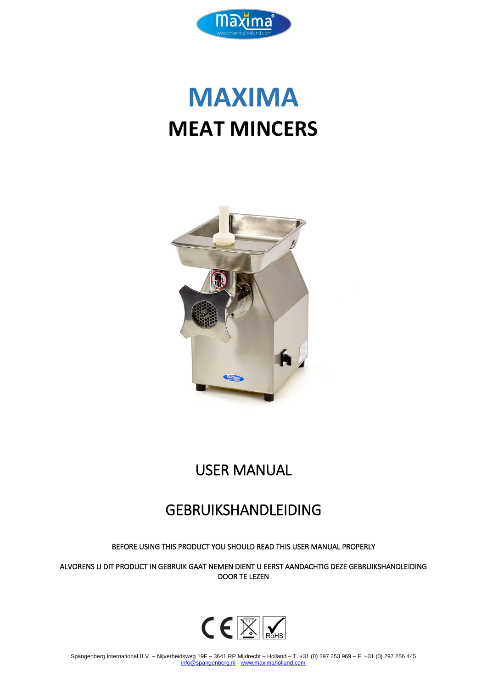

# **MAXIMA MEAT MINCERS**



## USER MANUAL

### GEBRUIKSHANDLEIDING

BEFORE USING THIS PRODUCT YOU SHOULD READ THIS USER MANUAL PROPERLY

ALVORENS U DIT PRODUCT IN GEBRUIK GAAT NEMEN DIENT U EERST AANDACHTIG DEZE GEBRUIKSHANDLEIDING DOOR TE LEZEN

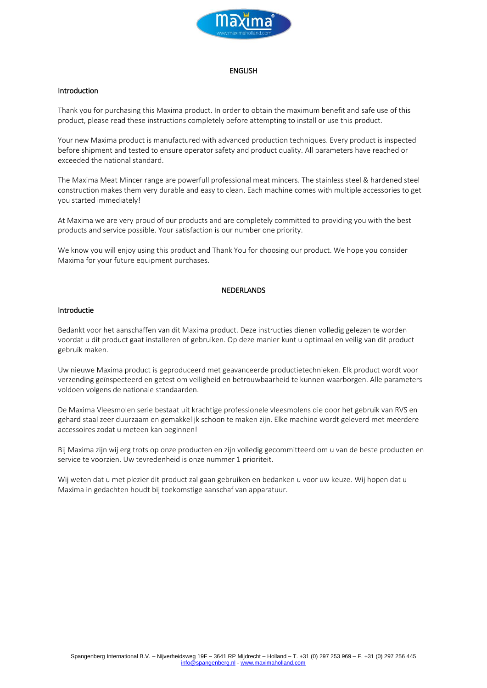

#### **ENGLISH**

#### Introduction

Thank you for purchasing this Maxima product. In order to obtain the maximum benefit and safe use of this product, please read these instructions completely before attempting to install or use this product.

Your new Maxima product is manufactured with advanced production techniques. Every product is inspected before shipment and tested to ensure operator safety and product quality. All parameters have reached or exceeded the national standard.

The Maxima Meat Mincer range are powerfull professional meat mincers. The stainless steel & hardened steel construction makes them very durable and easy to clean. Each machine comes with multiple accessories to get you started immediately!

At Maxima we are very proud of our products and are completely committed to providing you with the best products and service possible. Your satisfaction is our number one priority.

We know you will enjoy using this product and Thank You for choosing our product. We hope you consider Maxima for your future equipment purchases.

#### NEDERLANDS

#### Introductie

Bedankt voor het aanschaffen van dit Maxima product. Deze instructies dienen volledig gelezen te worden voordat u dit product gaat installeren of gebruiken. Op deze manier kunt u optimaal en veilig van dit product gebruik maken.

Uw nieuwe Maxima product is geproduceerd met geavanceerde productietechnieken. Elk product wordt voor verzending geïnspecteerd en getest om veiligheid en betrouwbaarheid te kunnen waarborgen. Alle parameters voldoen volgens de nationale standaarden.

De Maxima Vleesmolen serie bestaat uit krachtige professionele vleesmolens die door het gebruik van RVS en gehard staal zeer duurzaam en gemakkelijk schoon te maken zijn. Elke machine wordt geleverd met meerdere accessoires zodat u meteen kan beginnen!

Bij Maxima zijn wij erg trots op onze producten en zijn volledig gecommitteerd om u van de beste producten en service te voorzien. Uw tevredenheid is onze nummer 1 prioriteit.

Wij weten dat u met plezier dit product zal gaan gebruiken en bedanken u voor uw keuze. Wij hopen dat u Maxima in gedachten houdt bij toekomstige aanschaf van apparatuur.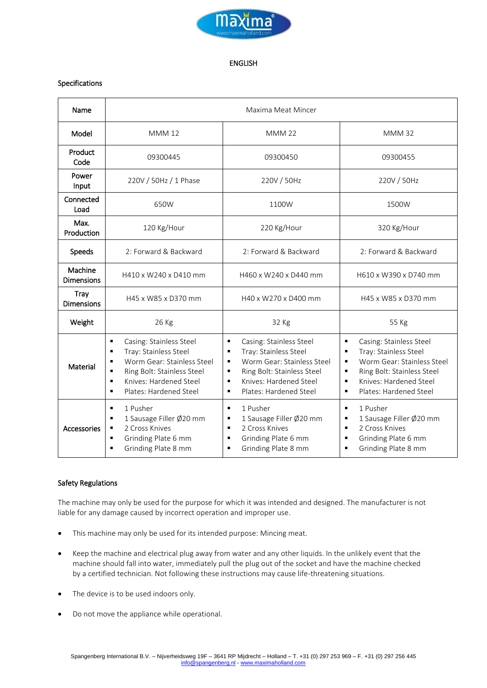

#### ENGLISH

#### Specifications

| Name                             | Maxima Meat Mincer                                                                                                                                                                                                                                                           |                                                                                                                                                                                                                          |                                                                                                                                                                                                                                                                 |
|----------------------------------|------------------------------------------------------------------------------------------------------------------------------------------------------------------------------------------------------------------------------------------------------------------------------|--------------------------------------------------------------------------------------------------------------------------------------------------------------------------------------------------------------------------|-----------------------------------------------------------------------------------------------------------------------------------------------------------------------------------------------------------------------------------------------------------------|
| Model                            | <b>MMM12</b>                                                                                                                                                                                                                                                                 | <b>MMM 22</b>                                                                                                                                                                                                            | <b>MMM32</b>                                                                                                                                                                                                                                                    |
| Product<br>Code                  | 09300445                                                                                                                                                                                                                                                                     | 09300450                                                                                                                                                                                                                 | 09300455                                                                                                                                                                                                                                                        |
| Power<br>Input                   | 220V / 50Hz / 1 Phase                                                                                                                                                                                                                                                        | 220V / 50Hz                                                                                                                                                                                                              | 220V / 50Hz                                                                                                                                                                                                                                                     |
| Connected<br>Load                | 650W                                                                                                                                                                                                                                                                         | 1100W                                                                                                                                                                                                                    | 1500W                                                                                                                                                                                                                                                           |
| Max.<br>Production               | 120 Kg/Hour                                                                                                                                                                                                                                                                  | 220 Kg/Hour                                                                                                                                                                                                              | 320 Kg/Hour                                                                                                                                                                                                                                                     |
| Speeds                           | 2: Forward & Backward                                                                                                                                                                                                                                                        | 2: Forward & Backward                                                                                                                                                                                                    | 2: Forward & Backward                                                                                                                                                                                                                                           |
| Machine<br><b>Dimensions</b>     | H410 x W240 x D410 mm                                                                                                                                                                                                                                                        | H460 x W240 x D440 mm                                                                                                                                                                                                    | H610 x W390 x D740 mm                                                                                                                                                                                                                                           |
| <b>Tray</b><br><b>Dimensions</b> | H45 x W85 x D370 mm                                                                                                                                                                                                                                                          | H40 x W270 x D400 mm                                                                                                                                                                                                     | H45 x W85 x D370 mm                                                                                                                                                                                                                                             |
| Weight                           | 26 Kg                                                                                                                                                                                                                                                                        | 32 Kg                                                                                                                                                                                                                    | 55 Kg                                                                                                                                                                                                                                                           |
| Material                         | Casing: Stainless Steel<br>$\blacksquare$<br>Tray: Stainless Steel<br>$\blacksquare$<br>Worm Gear: Stainless Steel<br>$\blacksquare$<br>Ring Bolt: Stainless Steel<br>$\blacksquare$<br>Knives: Hardened Steel<br>$\blacksquare$<br>Plates: Hardened Steel<br>$\blacksquare$ | Casing: Stainless Steel<br>٠<br>Tray: Stainless Steel<br>П<br>Worm Gear: Stainless Steel<br>$\blacksquare$<br>Ring Bolt: Stainless Steel<br>٠<br>Knives: Hardened Steel<br>$\blacksquare$<br>Plates: Hardened Steel<br>٠ | $\blacksquare$<br>Casing: Stainless Steel<br>Tray: Stainless Steel<br>$\blacksquare$<br>Worm Gear: Stainless Steel<br>٠<br>Ring Bolt: Stainless Steel<br>$\blacksquare$<br>Knives: Hardened Steel<br>$\blacksquare$<br>Plates: Hardened Steel<br>$\blacksquare$ |
| Accessories                      | 1 Pusher<br>$\blacksquare$<br>1 Sausage Filler Ø20 mm<br>$\blacksquare$<br>2 Cross Knives<br>٠<br>Grinding Plate 6 mm<br>$\blacksquare$<br>Grinding Plate 8 mm<br>$\blacksquare$                                                                                             | 1 Pusher<br>$\blacksquare$<br>1 Sausage Filler Ø20 mm<br>П<br>2 Cross Knives<br>$\blacksquare$<br>Grinding Plate 6 mm<br>$\blacksquare$<br>Grinding Plate 8 mm<br>$\blacksquare$                                         | 1 Pusher<br>$\blacksquare$<br>1 Sausage Filler Ø20 mm<br>٠<br>2 Cross Knives<br>$\blacksquare$<br>Grinding Plate 6 mm<br>$\blacksquare$<br>Grinding Plate 8 mm<br>$\blacksquare$                                                                                |

#### Safety Regulations

The machine may only be used for the purpose for which it was intended and designed. The manufacturer is not liable for any damage caused by incorrect operation and improper use.

- This machine may only be used for its intended purpose: Mincing meat.
- Keep the machine and electrical plug away from water and any other liquids. In the unlikely event that the machine should fall into water, immediately pull the plug out of the socket and have the machine checked by a certified technician. Not following these instructions may cause life-threatening situations.
- The device is to be used indoors only.
- Do not move the appliance while operational.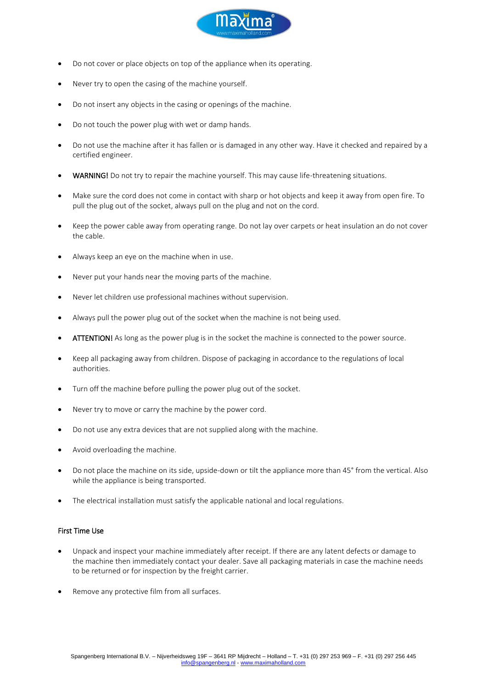

- Do not cover or place objects on top of the appliance when its operating.
- Never try to open the casing of the machine yourself.
- Do not insert any objects in the casing or openings of the machine.
- Do not touch the power plug with wet or damp hands.
- Do not use the machine after it has fallen or is damaged in any other way. Have it checked and repaired by a certified engineer.
- WARNING! Do not try to repair the machine yourself. This may cause life-threatening situations.
- Make sure the cord does not come in contact with sharp or hot objects and keep it away from open fire. To pull the plug out of the socket, always pull on the plug and not on the cord.
- Keep the power cable away from operating range. Do not lay over carpets or heat insulation an do not cover the cable.
- Always keep an eye on the machine when in use.
- Never put your hands near the moving parts of the machine.
- Never let children use professional machines without supervision.
- Always pull the power plug out of the socket when the machine is not being used.
- ATTENTION! As long as the power plug is in the socket the machine is connected to the power source.
- Keep all packaging away from children. Dispose of packaging in accordance to the regulations of local authorities.
- Turn off the machine before pulling the power plug out of the socket.
- Never try to move or carry the machine by the power cord.
- Do not use any extra devices that are not supplied along with the machine.
- Avoid overloading the machine.
- Do not place the machine on its side, upside-down or tilt the appliance more than 45° from the vertical. Also while the appliance is being transported.
- The electrical installation must satisfy the applicable national and local regulations.

#### First Time Use

- Unpack and inspect your machine immediately after receipt. If there are any latent defects or damage to the machine then immediately contact your dealer. Save all packaging materials in case the machine needs to be returned or for inspection by the freight carrier.
- Remove any protective film from all surfaces.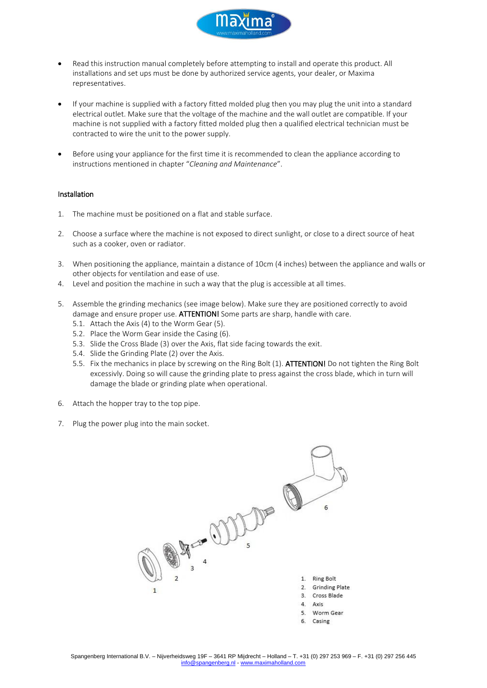

- Read this instruction manual completely before attempting to install and operate this product. All installations and set ups must be done by authorized service agents, your dealer, or Maxima representatives.
- If your machine is supplied with a factory fitted molded plug then you may plug the unit into a standard electrical outlet. Make sure that the voltage of the machine and the wall outlet are compatible. If your machine is not supplied with a factory fitted molded plug then a qualified electrical technician must be contracted to wire the unit to the power supply.
- Before using your appliance for the first time it is recommended to clean the appliance according to instructions mentioned in chapter "*Cleaning and Maintenance*".

#### Installation

- 1. The machine must be positioned on a flat and stable surface.
- 2. Choose a surface where the machine is not exposed to direct sunlight, or close to a direct source of heat such as a cooker, oven or radiator.
- 3. When positioning the appliance, maintain a distance of 10cm (4 inches) between the appliance and walls or other objects for ventilation and ease of use.
- 4. Level and position the machine in such a way that the plug is accessible at all times.
- 5. Assemble the grinding mechanics (see image below). Make sure they are positioned correctly to avoid damage and ensure proper use. ATTENTION! Some parts are sharp, handle with care.
	- 5.1. Attach the Axis (4) to the Worm Gear (5).
	- 5.2. Place the Worm Gear inside the Casing (6).
	- 5.3. Slide the Cross Blade (3) over the Axis, flat side facing towards the exit.
	- 5.4. Slide the Grinding Plate (2) over the Axis.
	- 5.5. Fix the mechanics in place by screwing on the Ring Bolt (1). ATTENTION! Do not tighten the Ring Bolt excessivly. Doing so will cause the grinding plate to press against the cross blade, which in turn will damage the blade or grinding plate when operational.
- 6. Attach the hopper tray to the top pipe.
- 7. Plug the power plug into the main socket.

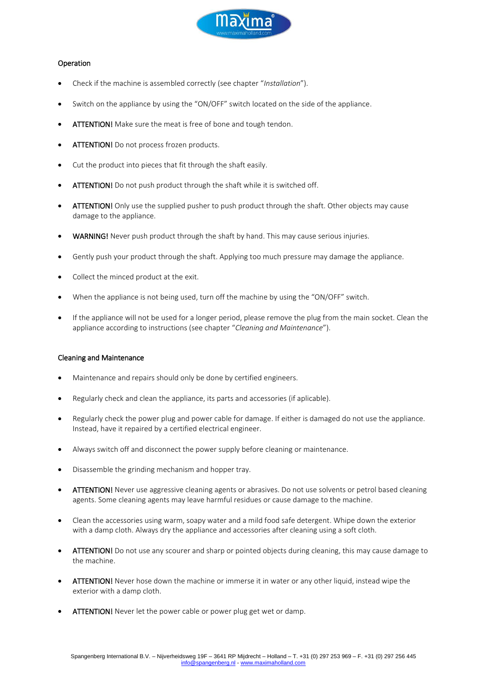

#### Operation

- Check if the machine is assembled correctly (see chapter "*Installation*").
- Switch on the appliance by using the "ON/OFF" switch located on the side of the appliance.
- ATTENTION! Make sure the meat is free of bone and tough tendon.
- ATTENTION! Do not process frozen products.
- Cut the product into pieces that fit through the shaft easily.
- ATTENTION! Do not push product through the shaft while it is switched off.
- ATTENTION! Only use the supplied pusher to push product through the shaft. Other objects may cause damage to the appliance.
- WARNING! Never push product through the shaft by hand. This may cause serious injuries.
- Gently push your product through the shaft. Applying too much pressure may damage the appliance.
- Collect the minced product at the exit.
- When the appliance is not being used, turn off the machine by using the "ON/OFF" switch.
- If the appliance will not be used for a longer period, please remove the plug from the main socket. Clean the appliance according to instructions (see chapter "*Cleaning and Maintenance*").

#### Cleaning and Maintenance

- Maintenance and repairs should only be done by certified engineers.
- Regularly check and clean the appliance, its parts and accessories (if aplicable).
- Regularly check the power plug and power cable for damage. If either is damaged do not use the appliance. Instead, have it repaired by a certified electrical engineer.
- Always switch off and disconnect the power supply before cleaning or maintenance.
- Disassemble the grinding mechanism and hopper tray.
- ATTENTION! Never use aggressive cleaning agents or abrasives. Do not use solvents or petrol based cleaning agents. Some cleaning agents may leave harmful residues or cause damage to the machine.
- Clean the accessories using warm, soapy water and a mild food safe detergent. Whipe down the exterior with a damp cloth. Always dry the appliance and accessories after cleaning using a soft cloth.
- ATTENTION! Do not use any scourer and sharp or pointed objects during cleaning, this may cause damage to the machine.
- ATTENTION! Never hose down the machine or immerse it in water or any other liquid, instead wipe the exterior with a damp cloth.
- ATTENTION! Never let the power cable or power plug get wet or damp.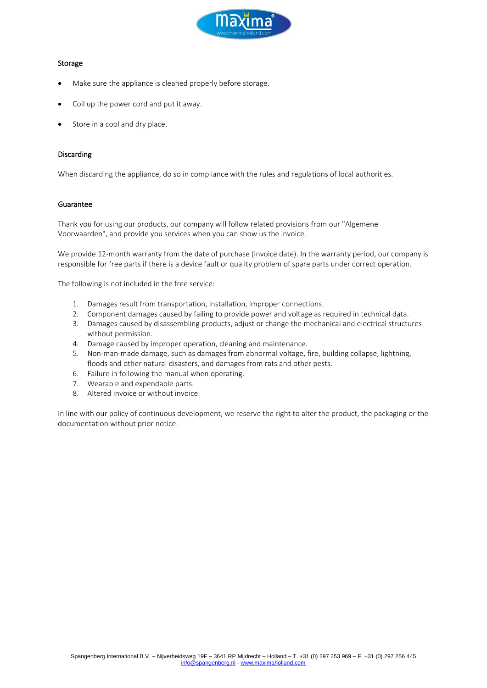

#### Storage

- Make sure the appliance is cleaned properly before storage.
- Coil up the power cord and put it away.
- Store in a cool and dry place.

#### **Discarding**

When discarding the appliance, do so in compliance with the rules and regulations of local authorities.

#### Guarantee

Thank you for using our products, our company will follow related provisions from our "Algemene Voorwaarden", and provide you services when you can show us the invoice.

We provide 12-month warranty from the date of purchase (invoice date). In the warranty period, our company is responsible for free parts if there is a device fault or quality problem of spare parts under correct operation.

The following is not included in the free service:

- 1. Damages result from transportation, installation, improper connections.
- 2. Component damages caused by failing to provide power and voltage as required in technical data.
- 3. Damages caused by disassembling products, adjust or change the mechanical and electrical structures without permission.
- 4. Damage caused by improper operation, cleaning and maintenance.
- 5. Non-man-made damage, such as damages from abnormal voltage, fire, building collapse, lightning, floods and other natural disasters, and damages from rats and other pests.
- 6. Failure in following the manual when operating.
- 7. Wearable and expendable parts.
- 8. Altered invoice or without invoice.

In line with our policy of continuous development, we reserve the right to alter the product, the packaging or the documentation without prior notice.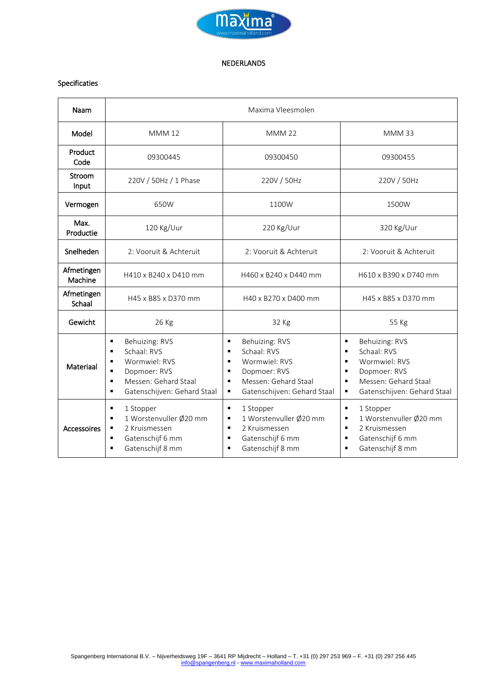

#### NEDERLANDS

#### Specificaties

| Naam                  | Maxima Vleesmolen                                                                                                                                                                          |                                                                                                                                                     |                                                                                                                                                                                                                                   |
|-----------------------|--------------------------------------------------------------------------------------------------------------------------------------------------------------------------------------------|-----------------------------------------------------------------------------------------------------------------------------------------------------|-----------------------------------------------------------------------------------------------------------------------------------------------------------------------------------------------------------------------------------|
| Model                 | <b>MMM12</b>                                                                                                                                                                               | <b>MMM 22</b>                                                                                                                                       | <b>MMM33</b>                                                                                                                                                                                                                      |
| Product<br>Code       | 09300445                                                                                                                                                                                   | 09300450                                                                                                                                            | 09300455                                                                                                                                                                                                                          |
| Stroom<br>Input       | 220V / 50Hz / 1 Phase                                                                                                                                                                      | 220V / 50Hz                                                                                                                                         | 220V / 50Hz                                                                                                                                                                                                                       |
| Vermogen              | 650W                                                                                                                                                                                       | 1100W                                                                                                                                               | 1500W                                                                                                                                                                                                                             |
| Max.<br>Productie     | 120 Kg/Uur                                                                                                                                                                                 | 220 Kg/Uur                                                                                                                                          | 320 Kg/Uur                                                                                                                                                                                                                        |
| Snelheden             | 2: Vooruit & Achteruit                                                                                                                                                                     | 2: Vooruit & Achteruit                                                                                                                              | 2: Vooruit & Achteruit                                                                                                                                                                                                            |
| Afmetingen<br>Machine | H410 x B240 x D410 mm                                                                                                                                                                      | H460 x B240 x D440 mm                                                                                                                               | H610 x B390 x D740 mm                                                                                                                                                                                                             |
| Afmetingen<br>Schaal  | H45 x B85 x D370 mm                                                                                                                                                                        | H40 x B270 x D400 mm                                                                                                                                | H45 x B85 x D370 mm                                                                                                                                                                                                               |
| Gewicht               | 26 Kg                                                                                                                                                                                      | 32 Kg                                                                                                                                               | 55 Kg                                                                                                                                                                                                                             |
| Materiaal             | Behuizing: RVS<br>٠<br>Schaal: RVS<br>٠<br>Wormwiel: RVS<br>٠<br>Dopmoer: RVS<br>$\blacksquare$<br>Messen: Gehard Staal<br>$\blacksquare$<br>Gatenschijven: Gehard Staal<br>$\blacksquare$ | Behuizing: RVS<br>٠<br>Schaal: RVS<br>٠<br>Wormwiel: RVS<br>٠<br>Dopmoer: RVS<br>٠<br>Messen: Gehard Staal<br>٠<br>Gatenschijven: Gehard Staal<br>٠ | Behuizing: RVS<br>$\blacksquare$<br>Schaal: RVS<br>$\blacksquare$<br>Wormwiel: RVS<br>$\blacksquare$<br>Dopmoer: RVS<br>$\blacksquare$<br>Messen: Gehard Staal<br>$\blacksquare$<br>Gatenschijven: Gehard Staal<br>$\blacksquare$ |
| Accessoires           | 1 Stopper<br>٠<br>1 Worstenvuller Ø20 mm<br>٠<br>2 Kruismessen<br>$\blacksquare$<br>Gatenschijf 6 mm<br>$\blacksquare$<br>Gatenschijf 8 mm<br>$\blacksquare$                               | ٠<br>1 Stopper<br>1 Worstenvuller Ø20 mm<br>٠<br>2 Kruismessen<br>٠<br>Gatenschijf 6 mm<br>٠<br>Gatenschijf 8 mm<br>$\blacksquare$                  | $\blacksquare$<br>1 Stopper<br>1 Worstenvuller Ø20 mm<br>П<br>2 Kruismessen<br>$\blacksquare$<br>Gatenschijf 6 mm<br>$\blacksquare$<br>Gatenschijf 8 mm<br>$\blacksquare$                                                         |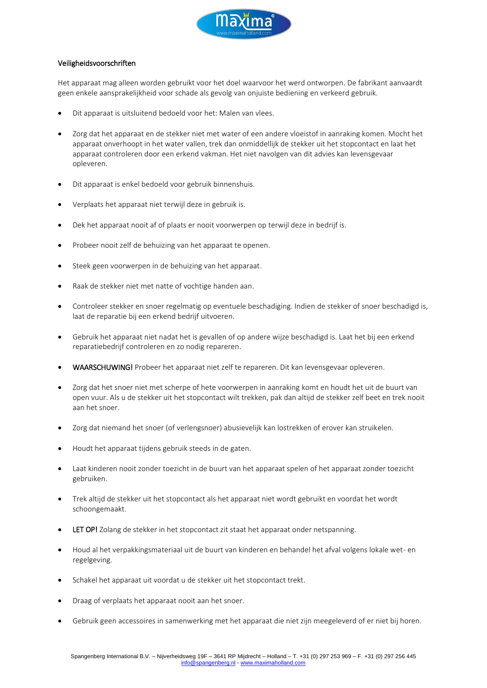

#### Veiligheidsvoorschriften

Het apparaat mag alleen worden gebruikt voor het doel waarvoor het werd ontworpen. De fabrikant aanvaardt geen enkele aansprakelijkheid voor schade als gevolg van onjuiste bediening en verkeerd gebruik.

- Dit apparaat is uitsluitend bedoeld voor het: Malen van vlees.
- Zorg dat het apparaat en de stekker niet met water of een andere vloeistof in aanraking komen. Mocht het apparaat onverhoopt in het water vallen, trek dan onmiddellijk de stekker uit het stopcontact en laat het apparaat controleren door een erkend vakman. Het niet navolgen van dit advies kan levensgevaar opleveren.
- Dit apparaat is enkel bedoeld voor gebruik binnenshuis.
- Verplaats het apparaat niet terwijl deze in gebruik is.
- Dek het apparaat nooit af of plaats er nooit voorwerpen op terwijl deze in bedrijf is.
- Probeer nooit zelf de behuizing van het apparaat te openen.
- Steek geen voorwerpen in de behuizing van het apparaat.
- Raak de stekker niet met natte of vochtige handen aan.
- Controleer stekker en snoer regelmatig op eventuele beschadiging. Indien de stekker of snoer beschadigd is, laat de reparatie bij een erkend bedrijf uitvoeren.
- Gebruik het apparaat niet nadat het is gevallen of op andere wijze beschadigd is. Laat het bij een erkend reparatiebedrijf controleren en zo nodig repareren.
- WAARSCHUWING! Probeer het apparaat niet zelf te repareren. Dit kan levensgevaar opleveren.
- Zorg dat het snoer niet met scherpe of hete voorwerpen in aanraking komt en houdt het uit de buurt van open vuur. Als u de stekker uit het stopcontact wilt trekken, pak dan altijd de stekker zelf beet en trek nooit aan het snoer.
- Zorg dat niemand het snoer (of verlengsnoer) abusievelijk kan lostrekken of erover kan struikelen.
- Houdt het apparaat tijdens gebruik steeds in de gaten.
- Laat kinderen nooit zonder toezicht in de buurt van het apparaat spelen of het apparaat zonder toezicht gebruiken.
- Trek altijd de stekker uit het stopcontact als het apparaat niet wordt gebruikt en voordat het wordt schoongemaakt.
- LET OP! Zolang de stekker in het stopcontact zit staat het apparaat onder netspanning.
- Houd al het verpakkingsmateriaal uit de buurt van kinderen en behandel het afval volgens lokale wet- en regelgeving.
- Schakel het apparaat uit voordat u de stekker uit het stopcontact trekt.
- Draag of verplaats het apparaat nooit aan het snoer.
- Gebruik geen accessoires in samenwerking met het apparaat die niet zijn meegeleverd of er niet bij horen.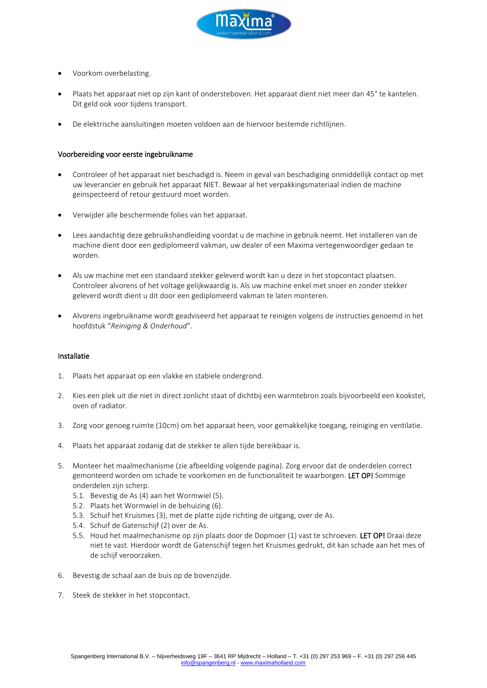

- Voorkom overbelasting.
- Plaats het apparaat niet op zijn kant of ondersteboven. Het apparaat dient niet meer dan 45° te kantelen. Dit geld ook voor tijdens transport.
- De elektrische aansluitingen moeten voldoen aan de hiervoor bestemde richtlijnen.

#### Voorbereiding voor eerste ingebruikname

- Controleer of het apparaat niet beschadigd is. Neem in geval van beschadiging onmiddellijk contact op met uw leverancier en gebruik het apparaat NIET. Bewaar al het verpakkingsmateriaal indien de machine geinspecteerd of retour gestuurd moet worden.
- Verwijder alle beschermende folies van het apparaat.
- Lees aandachtig deze gebruikshandleiding voordat u de machine in gebruik neemt. Het installeren van de machine dient door een gediplomeerd vakman, uw dealer of een Maxima vertegenwoordiger gedaan te worden.
- Als uw machine met een standaard stekker geleverd wordt kan u deze in het stopcontact plaatsen. Controleer alvorens of het voltage gelijkwaardig is. Als uw machine enkel met snoer en zonder stekker geleverd wordt dient u dit door een gediplomeerd vakman te laten monteren.
- Alvorens ingebruikname wordt geadviseerd het apparaat te reinigen volgens de instructies genoemd in het hoofdstuk "*Reiniging & Onderhoud*".

#### Installatie

- 1. Plaats het apparaat op een vlakke en stabiele ondergrond.
- 2. Kies een plek uit die niet in direct zonlicht staat of dichtbij een warmtebron zoals bijvoorbeeld een kookstel, oven of radiator.
- 3. Zorg voor genoeg ruimte (10cm) om het apparaat heen, voor gemakkelijke toegang, reiniging en ventilatie.
- 4. Plaats het apparaat zodanig dat de stekker te allen tijde bereikbaar is.
- 5. Monteer het maalmechanisme (zie afbeelding volgende pagina). Zorg ervoor dat de onderdelen correct gemonteerd worden om schade te voorkomen en de functionaliteit te waarborgen. LET OP! Sommige onderdelen zijn scherp.
	- 5.1. Bevestig de As (4) aan het Wormwiel (5).
	- 5.2. Plaats het Wormwiel in de behuizing (6).
	- 5.3. Schuif het Kruismes (3), met de platte zijde richting de uitgang, over de As.
	- 5.4. Schuif de Gatenschijf (2) over de As.
	- 5.5. Houd het maalmechanisme op zijn plaats door de Dopmoer (1) vast te schroeven. LET OP! Draai deze niet te vast. Hierdoor wordt de Gatenschijf tegen het Kruismes gedrukt, dit kan schade aan het mes of de schijf veroorzaken.
- 6. Bevestig de schaal aan de buis op de bovenzijde.
- 7. Steek de stekker in het stopcontact.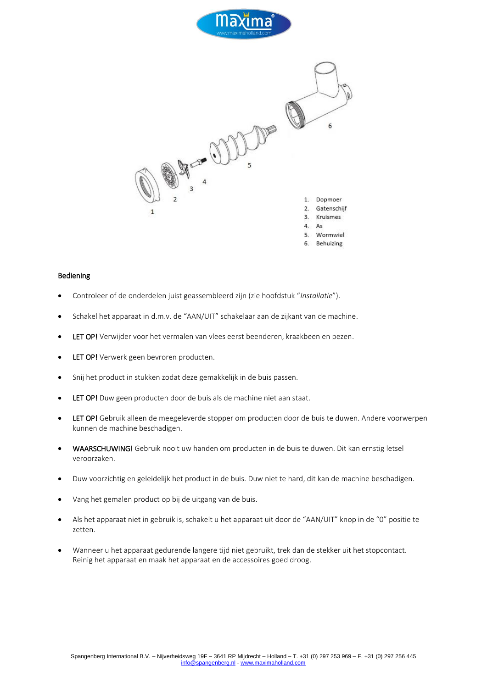



### Bediening

- Controleer of de onderdelen juist geassembleerd zijn (zie hoofdstuk "*Installatie*").
- Schakel het apparaat in d.m.v. de "AAN/UIT" schakelaar aan de zijkant van de machine.
- LET OP! Verwijder voor het vermalen van vlees eerst beenderen, kraakbeen en pezen.
- **LET OP!** Verwerk geen bevroren producten.
- Snij het product in stukken zodat deze gemakkelijk in de buis passen.
- LET OP! Duw geen producten door de buis als de machine niet aan staat.
- LET OP! Gebruik alleen de meegeleverde stopper om producten door de buis te duwen. Andere voorwerpen kunnen de machine beschadigen.
- WAARSCHUWING! Gebruik nooit uw handen om producten in de buis te duwen. Dit kan ernstig letsel veroorzaken.
- Duw voorzichtig en geleidelijk het product in de buis. Duw niet te hard, dit kan de machine beschadigen.
- Vang het gemalen product op bij de uitgang van de buis.
- Als het apparaat niet in gebruik is, schakelt u het apparaat uit door de "AAN/UIT" knop in de "0" positie te zetten.
- Wanneer u het apparaat gedurende langere tijd niet gebruikt, trek dan de stekker uit het stopcontact. Reinig het apparaat en maak het apparaat en de accessoires goed droog.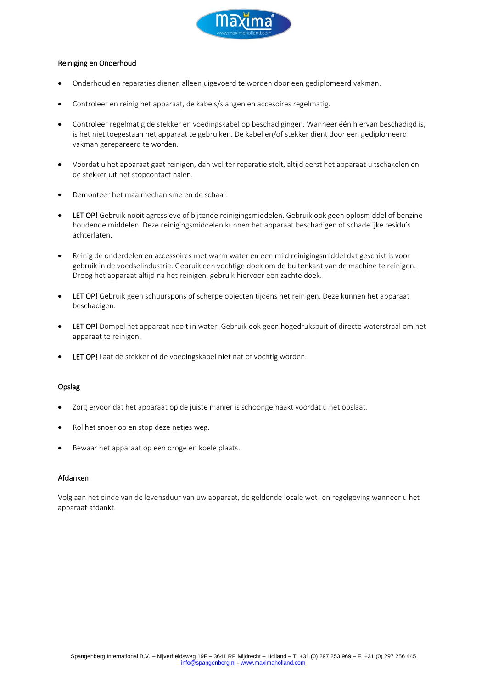

#### Reiniging en Onderhoud

- Onderhoud en reparaties dienen alleen uigevoerd te worden door een gediplomeerd vakman.
- Controleer en reinig het apparaat, de kabels/slangen en accesoires regelmatig.
- Controleer regelmatig de stekker en voedingskabel op beschadigingen. Wanneer één hiervan beschadigd is, is het niet toegestaan het apparaat te gebruiken. De kabel en/of stekker dient door een gediplomeerd vakman gerepareerd te worden.
- Voordat u het apparaat gaat reinigen, dan wel ter reparatie stelt, altijd eerst het apparaat uitschakelen en de stekker uit het stopcontact halen.
- Demonteer het maalmechanisme en de schaal.
- LET OP! Gebruik nooit agressieve of bijtende reinigingsmiddelen. Gebruik ook geen oplosmiddel of benzine houdende middelen. Deze reinigingsmiddelen kunnen het apparaat beschadigen of schadelijke residu's achterlaten.
- Reinig de onderdelen en accessoires met warm water en een mild reinigingsmiddel dat geschikt is voor gebruik in de voedselindustrie. Gebruik een vochtige doek om de buitenkant van de machine te reinigen. Droog het apparaat altijd na het reinigen, gebruik hiervoor een zachte doek.
- LET OP! Gebruik geen schuurspons of scherpe objecten tijdens het reinigen. Deze kunnen het apparaat beschadigen.
- LET OP! Dompel het apparaat nooit in water. Gebruik ook geen hogedrukspuit of directe waterstraal om het apparaat te reinigen.
- **LET OP!** Laat de stekker of de voedingskabel niet nat of vochtig worden.

#### Opslag

- Zorg ervoor dat het apparaat op de juiste manier is schoongemaakt voordat u het opslaat.
- Rol het snoer op en stop deze netjes weg.
- Bewaar het apparaat op een droge en koele plaats.

#### Afdanken

Volg aan het einde van de levensduur van uw apparaat, de geldende locale wet- en regelgeving wanneer u het apparaat afdankt.